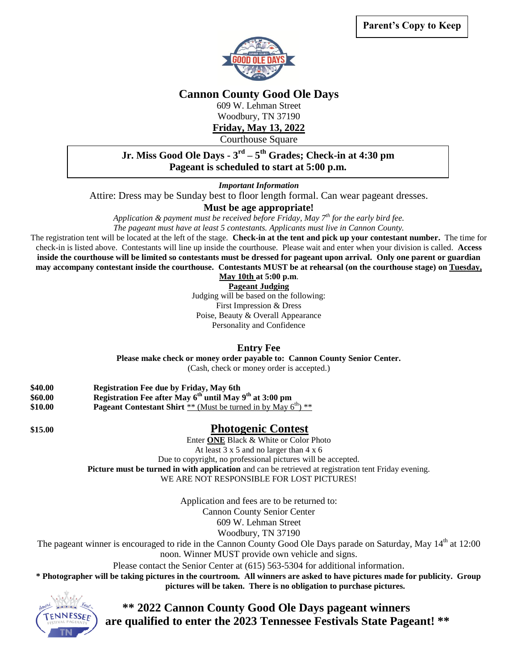

## **Cannon County Good Ole Days**

609 W. Lehman Street

Woodbury, TN 37190

**Friday, May 13, 2022**

Courthouse Square

## **Jr. Miss Good Ole Days - 3 rd – 5 th Grades; Check-in at 4:30 pm Pageant is scheduled to start at 5:00 p.m.**

*Important Information*

Attire: Dress may be Sunday best to floor length formal. Can wear pageant dresses.

## **Must be age appropriate!**

*Application & payment must be received before Friday, May 7th for the early bird fee.*

*The pageant must have at least 5 contestants. Applicants must live in Cannon County.*

The registration tent will be located at the left of the stage. **Check-in at the tent and pick up your contestant number.** The time for check-in is listed above. Contestants will line up inside the courthouse. Please wait and enter when your division is called. **Access inside the courthouse will be limited so contestants must be dressed for pageant upon arrival. Only one parent or guardian may accompany contestant inside the courthouse. Contestants MUST be at rehearsal (on the courthouse stage) on Tuesday,** 

**May 10th at 5:00 p.m**.

**Pageant Judging**

Judging will be based on the following: First Impression & Dress Poise, Beauty & Overall Appearance Personality and Confidence

**Entry Fee**

**Please make check or money order payable to: Cannon County Senior Center.**

(Cash, check or money order is accepted.)

- **\$40.00 Registration Fee due by Friday, May 6th \$60.00 Registration Fee after May 6 th until May 9 th at 3:00 pm** \$10.00 **Pageant Contestant Shirt** \*\* (Must be turned in by May 6<sup>th</sup>) \*\*
- 

## **\$15.00 Photogenic Contest**

Enter **ONE** Black & White or Color Photo

At least 3 x 5 and no larger than 4 x 6

Due to copyright, no professional pictures will be accepted.

**Picture must be turned in with application** and can be retrieved at registration tent Friday evening.

WE ARE NOT RESPONSIBLE FOR LOST PICTURES!

Application and fees are to be returned to:

Cannon County Senior Center

609 W. Lehman Street

Woodbury, TN 37190

The pageant winner is encouraged to ride in the Cannon County Good Ole Days parade on Saturday, May 14<sup>th</sup> at 12:00 noon. Winner MUST provide own vehicle and signs.

Please contact the Senior Center at (615) 563-5304 for additional information.

**\* Photographer will be taking pictures in the courtroom. All winners are asked to have pictures made for publicity. Group pictures will be taken. There is no obligation to purchase pictures.**



 **\*\* 2022 Cannon County Good Ole Days pageant winners are qualified to enter the 2023 Tennessee Festivals State Pageant! \*\***